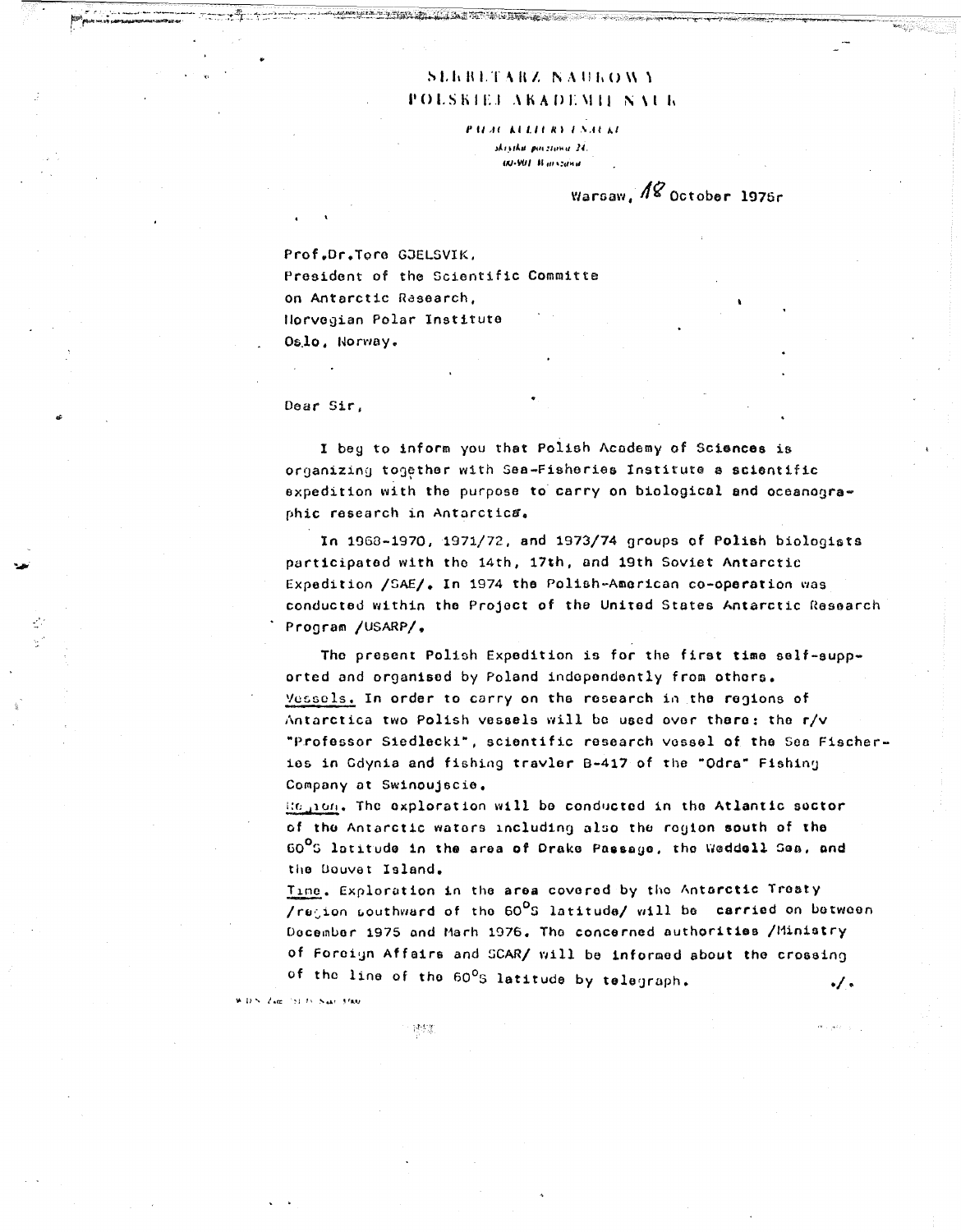## SLEBLTARZ NAUROWY POLSKIEJ AKADEMII NALIK

**PALAC KULLERY ENAUKE** skritka povztana 24. **IRI-VIII Warszawa** 

Warsaw,  $\sqrt{8}$  October 1976r

Prof.Dr.Tore GJELSVIK, President of the Scientific Committe on Antarctic Rasearch, Horvegian Polar Institute Oslo. Norway.

Dear Sir,

I beg to inform you that Polish Academy of Sciences is organizing together with Sea-Fisheries Institute a scientific expedition with the purpose to carry on biological and oceanographic research in Antarctica.

In 1968-1970, 1971/72, and 1973/74 groups of Polish biologists participated with the 14th, 17th, and 19th Soviet Antarctic Expedition /SAE/, In 1974 the Polish-American co-operation was conducted within the Project of the United States Antarctic Research Program /USARP/,

The present Polish Expedition is for the first time self-supported and organised by Poland independently from others. Vessels. In order to carry on the research in the regions of Antarctica two Polish vessels will be used over there: the r/v "Professor Siedlecki", scientific research vessel of the Sea Fischeries in Gdynia and fishing travler B-417 of the "Odra" Fishing Company at Swinoujscie.

Region, The exploration will be conducted in the Atlantic soctor of the Antarctic waters including also the region south of the 60°S latitude in the area of Drake Passage, the Weddell Sea, and the Douvet Island.

Time, Exploration in the area covered by the Antarctic Treaty /region southward of the 60<sup>0</sup>S latitude/ will be carried on between December 1975 and Marh 1976. The concerned authorities /Ministry of Foreign Affairs and SCAR/ will be informed about the crossing of the line of the 60°S latitude by telegraph. ۰/۰

**W.D.S. Zvar (31-7). Nakr. 3500.** 

誘致